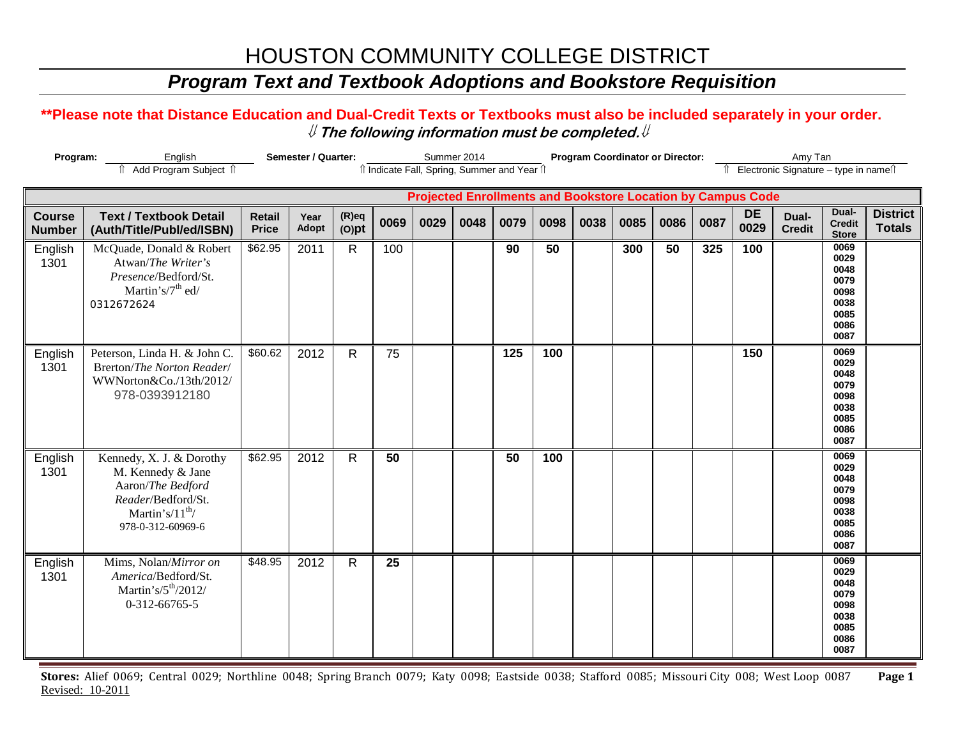## *Program Text and Textbook Adoptions and Bookstore Requisition*

#### **\*\*Please note that Distance Education and Dual-Credit Texts or Textbooks must also be included separately in your order.**  ⇓ **The following information must be completed.**⇓

| Program:                       |                                                                                                                                        | Semester / Quarter:           |               | îl Indicate Fall, Spring, Summer and Year îl | Summer 2014     |      |      | <b>Program Coordinator or Director:</b> |      |      | Amy Tan<br>↑ Electronic Signature - type in name |      |      |                                                                    |                        |                                                                      |                                  |
|--------------------------------|----------------------------------------------------------------------------------------------------------------------------------------|-------------------------------|---------------|----------------------------------------------|-----------------|------|------|-----------------------------------------|------|------|--------------------------------------------------|------|------|--------------------------------------------------------------------|------------------------|----------------------------------------------------------------------|----------------------------------|
|                                |                                                                                                                                        |                               |               |                                              |                 |      |      |                                         |      |      |                                                  |      |      | <b>Projected Enrollments and Bookstore Location by Campus Code</b> |                        |                                                                      |                                  |
| <b>Course</b><br><b>Number</b> | <b>Text / Textbook Detail</b><br>(Auth/Title/Publ/ed/ISBN)                                                                             | <b>Retail</b><br><b>Price</b> | Year<br>Adopt | $(R)$ eq<br>$(O)$ pt                         | 0069            | 0029 | 0048 | 0079                                    | 0098 | 0038 | 0085                                             | 0086 | 0087 | <b>DE</b><br>0029                                                  | Dual-<br><b>Credit</b> | Dual-<br><b>Credit</b><br><b>Store</b>                               | <b>District</b><br><b>Totals</b> |
| English<br>1301                | McQuade, Donald & Robert<br>Atwan/The Writer's<br>Presence/Bedford/St.<br>Martin's/7 <sup>th</sup> ed/<br>0312672624                   | \$62.95                       | 2011          | $\mathsf{R}$                                 | 100             |      |      | 90                                      | 50   |      | 300                                              | 50   | 325  | 100                                                                |                        | 0069<br>0029<br>0048<br>0079<br>0098<br>0038<br>0085<br>0086<br>0087 |                                  |
| English<br>1301                | Peterson, Linda H. & John C.<br>Brerton/The Norton Reader/<br>WWNorton&Co./13th/2012/<br>978-0393912180                                | \$60.62                       | 2012          | $\mathsf{R}$                                 | $\overline{75}$ |      |      | 125                                     | 100  |      |                                                  |      |      | 150                                                                |                        | 0069<br>0029<br>0048<br>0079<br>0098<br>0038<br>0085<br>0086<br>0087 |                                  |
| English<br>1301                | Kennedy, X. J. & Dorothy<br>M. Kennedy & Jane<br>Aaron/The Bedford<br>Reader/Bedford/St.<br>Martin's/ $11^{th}$ /<br>978-0-312-60969-6 | \$62.95                       | 2012          | R                                            | 50              |      |      | 50                                      | 100  |      |                                                  |      |      |                                                                    |                        | 0069<br>0029<br>0048<br>0079<br>0098<br>0038<br>0085<br>0086<br>0087 |                                  |
| English<br>1301                | Mims, Nolan/Mirror on<br>America/Bedford/St.<br>Martin's/ $5th/2012/$<br>0-312-66765-5                                                 | \$48.95                       | 2012          | $\mathsf{R}$                                 | 25              |      |      |                                         |      |      |                                                  |      |      |                                                                    |                        | 0069<br>0029<br>0048<br>0079<br>0098<br>0038<br>0085<br>0086<br>0087 |                                  |

**Stores:** Alief 0069; Central 0029; Northline 0048; Spring Branch 0079; Katy 0098; Eastside 0038; Stafford 0085; Missouri City 008; West Loop 0087 **Page 1** Revised: 10-2011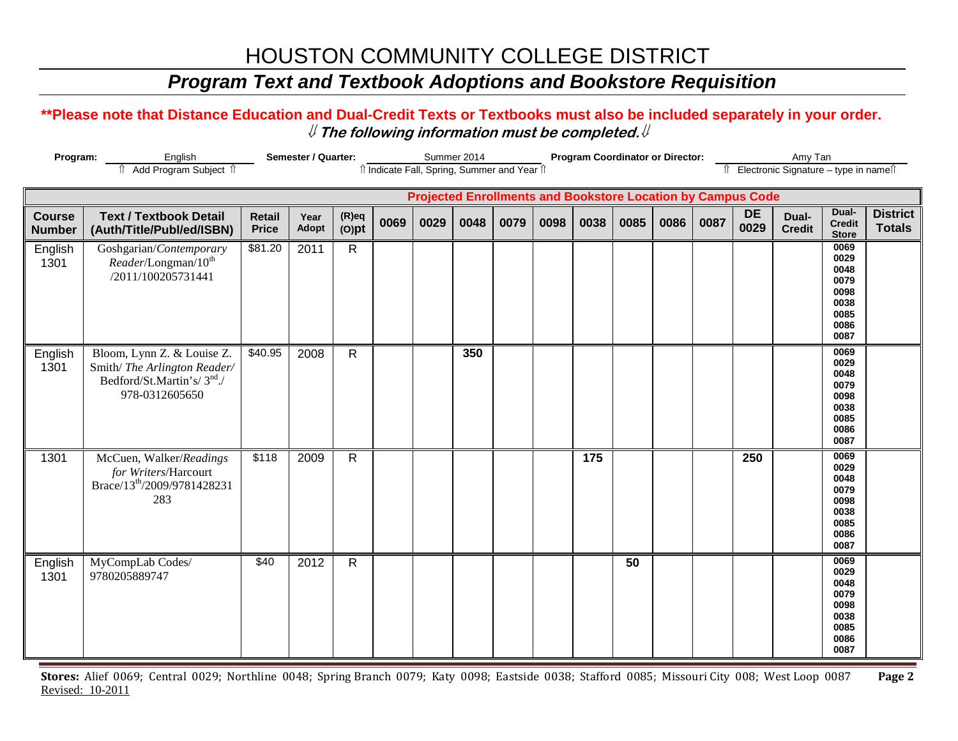## *Program Text and Textbook Adoptions and Bookstore Requisition*

#### **\*\*Please note that Distance Education and Dual-Credit Texts or Textbooks must also be included separately in your order.**  ⇓ **The following information must be completed.**⇓

| Program:                       |                                                                                                                       | Semester / Quarter:           |               |                      |      | Summer 2014 | îl Indicate Fall, Spring, Summer and Year îl |                                                                    |      | <b>Program Coordinator or Director:</b> |      | Amy Tan<br>Electronic Signature - type in names |      |            |                        |                                                                      |                                  |
|--------------------------------|-----------------------------------------------------------------------------------------------------------------------|-------------------------------|---------------|----------------------|------|-------------|----------------------------------------------|--------------------------------------------------------------------|------|-----------------------------------------|------|-------------------------------------------------|------|------------|------------------------|----------------------------------------------------------------------|----------------------------------|
|                                |                                                                                                                       |                               |               |                      |      |             |                                              | <b>Projected Enrollments and Bookstore Location by Campus Code</b> |      |                                         |      |                                                 |      |            |                        |                                                                      |                                  |
| <b>Course</b><br><b>Number</b> | <b>Text / Textbook Detail</b><br>(Auth/Title/Publ/ed/ISBN)                                                            | <b>Retail</b><br><b>Price</b> | Year<br>Adopt | $(R)$ eq<br>$(O)$ pt | 0069 | 0029        | 0048                                         | 0079                                                               | 0098 | 0038                                    | 0085 | 0086                                            | 0087 | DE<br>0029 | Dual-<br><b>Credit</b> | Dual-<br><b>Credit</b><br><b>Store</b>                               | <b>District</b><br><b>Totals</b> |
| English<br>1301                | Goshgarian/Contemporary<br>Reader/Longman/10 <sup>th</sup><br>/2011/100205731441                                      | \$81.20                       | 2011          | $\mathsf{R}$         |      |             |                                              |                                                                    |      |                                         |      |                                                 |      |            |                        | 0069<br>0029<br>0048<br>0079<br>0098<br>0038<br>0085<br>0086<br>0087 |                                  |
| English<br>1301                | Bloom, Lynn Z. & Louise Z.<br>Smith/The Arlington Reader/<br>Bedford/St.Martin's/3 <sup>nd</sup> ./<br>978-0312605650 | \$40.95                       | 2008          | $\mathsf{R}$         |      |             | 350                                          |                                                                    |      |                                         |      |                                                 |      |            |                        | 0069<br>0029<br>0048<br>0079<br>0098<br>0038<br>0085<br>0086<br>0087 |                                  |
| 1301                           | McCuen, Walker/Readings<br>for Writers/Harcourt<br>Brace/13 <sup>th</sup> /2009/9781428231<br>283                     | \$118                         | 2009          | $\mathsf{R}$         |      |             |                                              |                                                                    |      | 175                                     |      |                                                 |      | 250        |                        | 0069<br>0029<br>0048<br>0079<br>0098<br>0038<br>0085<br>0086<br>0087 |                                  |
| English<br>1301                | MyCompLab Codes/<br>9780205889747                                                                                     | \$40                          | 2012          | $\mathsf{R}$         |      |             |                                              |                                                                    |      |                                         | 50   |                                                 |      |            |                        | 0069<br>0029<br>0048<br>0079<br>0098<br>0038<br>0085<br>0086<br>0087 |                                  |

**Stores:** Alief 0069; Central 0029; Northline 0048; Spring Branch 0079; Katy 0098; Eastside 0038; Stafford 0085; Missouri City 008; West Loop 0087 **Page 2** Revised: 10-2011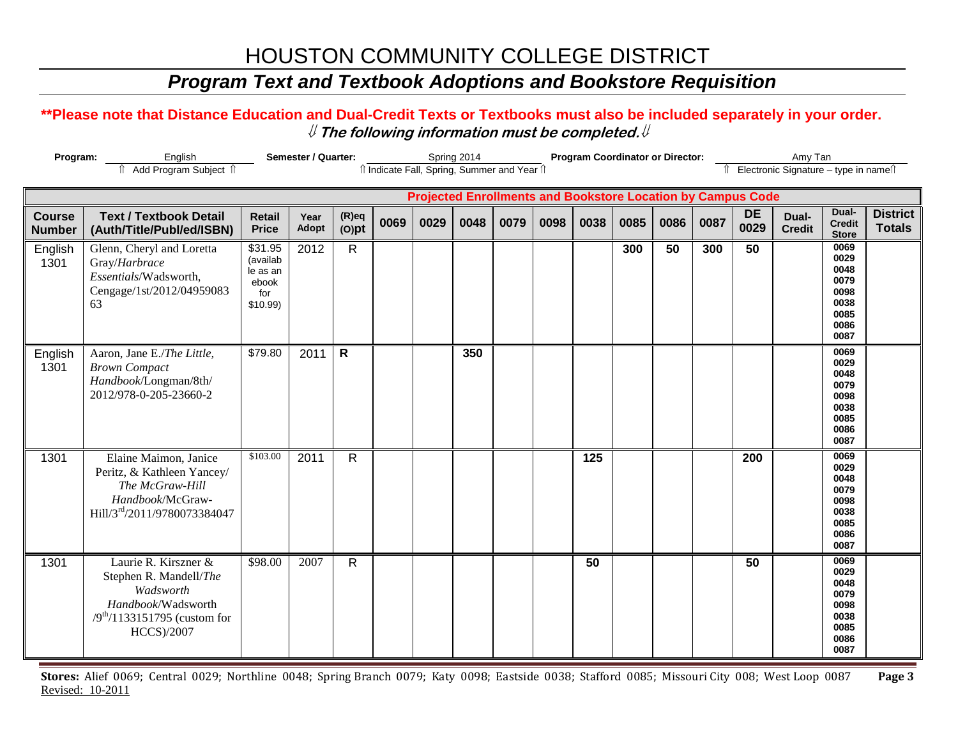## *Program Text and Textbook Adoptions and Bookstore Requisition*

#### **\*\*Please note that Distance Education and Dual-Credit Texts or Textbooks must also be included separately in your order.**  ⇓ **The following information must be completed.**⇓

| Semester / Quarter:<br>Program:<br>English<br>Add Program Subject 1 |                                                                                                                                     |                                                               |               |                      |      |      | Spring 2014 | Il Indicate Fall, Spring, Summer and Year Il                               |      |      | <b>Program Coordinator or Director:</b> |      |      | Amy Tan<br>↑ Electronic Signature - type in name |                        |                                                                      |                                  |
|---------------------------------------------------------------------|-------------------------------------------------------------------------------------------------------------------------------------|---------------------------------------------------------------|---------------|----------------------|------|------|-------------|----------------------------------------------------------------------------|------|------|-----------------------------------------|------|------|--------------------------------------------------|------------------------|----------------------------------------------------------------------|----------------------------------|
|                                                                     |                                                                                                                                     |                                                               |               |                      |      |      |             |                                                                            |      |      |                                         |      |      |                                                  |                        |                                                                      |                                  |
| <b>Course</b><br><b>Number</b>                                      | <b>Text / Textbook Detail</b><br>(Auth/Title/Publ/ed/ISBN)                                                                          | <b>Retail</b><br><b>Price</b>                                 | Year<br>Adopt | $(R)$ eq<br>$(O)$ pt | 0069 | 0029 | 0048        | <b>Projected Enrollments and Bookstore Location by Campus Code</b><br>0079 | 0098 | 0038 | 0085                                    | 0086 | 0087 | <b>DE</b><br>0029                                | Dual-<br><b>Credit</b> | Dual-<br><b>Credit</b><br><b>Store</b>                               | <b>District</b><br><b>Totals</b> |
| English<br>1301                                                     | Glenn, Cheryl and Loretta<br>Gray/Harbrace<br>Essentials/Wadsworth,<br>Cengage/1st/2012/04959083<br>63                              | \$31.95<br>(availab<br>le as an<br>ebook<br>for<br>$$10.99$ ) | 2012          | $\mathsf{R}$         |      |      |             |                                                                            |      |      | 300                                     | 50   | 300  | 50                                               |                        | 0069<br>0029<br>0048<br>0079<br>0098<br>0038<br>0085<br>0086<br>0087 |                                  |
| English<br>1301                                                     | Aaron, Jane E./The Little,<br><b>Brown Compact</b><br>Handbook/Longman/8th/<br>2012/978-0-205-23660-2                               | \$79.80                                                       | 2011          | $\mathsf{R}$         |      |      | 350         |                                                                            |      |      |                                         |      |      |                                                  |                        | 0069<br>0029<br>0048<br>0079<br>0098<br>0038<br>0085<br>0086<br>0087 |                                  |
| 1301                                                                | Elaine Maimon, Janice<br>Peritz, & Kathleen Yancey/<br>The McGraw-Hill<br>Handbook/McGraw-<br>Hill/3rd/2011/9780073384047           | \$103.00                                                      | 2011          | $\mathsf{R}$         |      |      |             |                                                                            |      | 125  |                                         |      |      | 200                                              |                        | 0069<br>0029<br>0048<br>0079<br>0098<br>0038<br>0085<br>0086<br>0087 |                                  |
| 1301                                                                | Laurie R. Kirszner &<br>Stephen R. Mandell/The<br>Wadsworth<br>Handbook/Wadsworth<br>$/9^{th}/1133151795$ (custom for<br>HCCS)/2007 | \$98.00                                                       | 2007          | $\mathsf{R}$         |      |      |             |                                                                            |      | 50   |                                         |      |      | 50                                               |                        | 0069<br>0029<br>0048<br>0079<br>0098<br>0038<br>0085<br>0086<br>0087 |                                  |

**Stores:** Alief 0069; Central 0029; Northline 0048; Spring Branch 0079; Katy 0098; Eastside 0038; Stafford 0085; Missouri City 008; West Loop 0087 **Page 3** Revised: 10-2011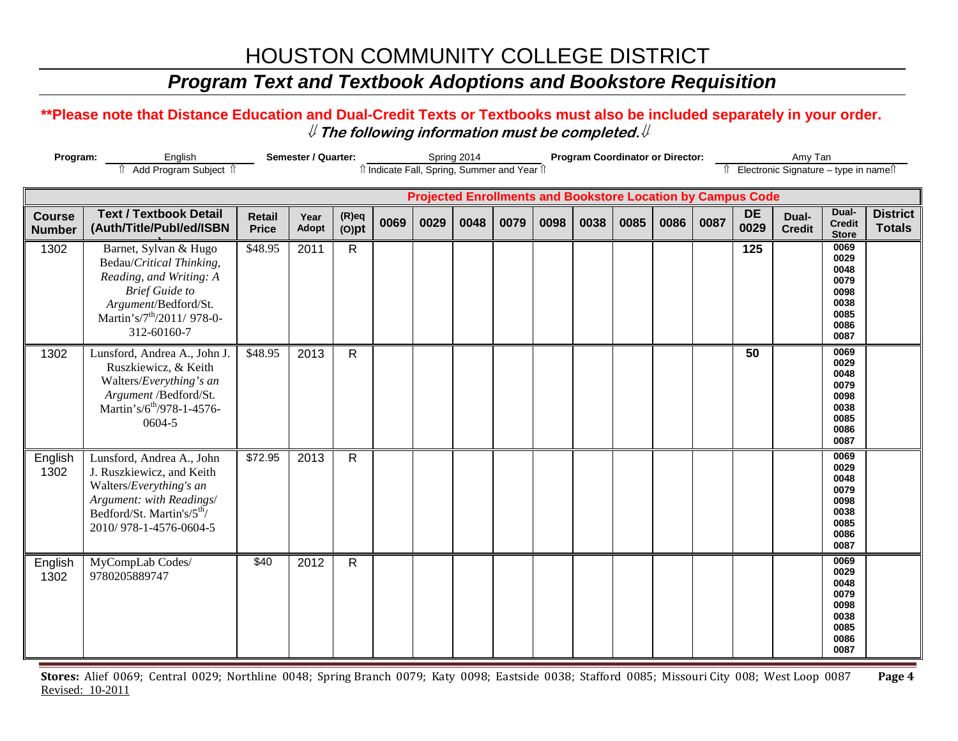## *Program Text and Textbook Adoptions and Bookstore Requisition*

#### **\*\*Please note that Distance Education and Dual-Credit Texts or Textbooks must also be included separately in your order.**  ⇓ **The following information must be completed.**⇓

| Program:                       | Add Program Subject 1                                                                                                                                                                  | Semester / Quarter:           |               |                      |      | Spring 2014                                                        | îl Indicate Fall, Spring, Summer and Year îl |      |      | <b>Program Coordinator or Director:</b> |      |      | Amy Tan<br>Îl Electronic Signature - type in namell |                   |                        |                                                                      |                                  |
|--------------------------------|----------------------------------------------------------------------------------------------------------------------------------------------------------------------------------------|-------------------------------|---------------|----------------------|------|--------------------------------------------------------------------|----------------------------------------------|------|------|-----------------------------------------|------|------|-----------------------------------------------------|-------------------|------------------------|----------------------------------------------------------------------|----------------------------------|
|                                |                                                                                                                                                                                        |                               |               |                      |      | <b>Projected Enrollments and Bookstore Location by Campus Code</b> |                                              |      |      |                                         |      |      |                                                     |                   |                        |                                                                      |                                  |
| <b>Course</b><br><b>Number</b> | <b>Text / Textbook Detail</b><br>(Auth/Title/Publ/ed/ISBN                                                                                                                              | <b>Retail</b><br><b>Price</b> | Year<br>Adopt | $(R)$ eq<br>$(O)$ pt | 0069 | 0029                                                               | 0048                                         | 0079 | 0098 | 0038                                    | 0085 | 0086 | 0087                                                | <b>DE</b><br>0029 | Dual-<br><b>Credit</b> | Dual-<br><b>Credit</b><br><b>Store</b>                               | <b>District</b><br><b>Totals</b> |
| 1302                           | Barnet, Sylvan & Hugo<br>Bedau/Critical Thinking,<br>Reading, and Writing: A<br><b>Brief Guide to</b><br>Argument/Bedford/St.<br>Martin's/7 <sup>th</sup> /2011/ 978-0-<br>312-60160-7 | \$48.95                       | 2011          | $\mathsf{R}$         |      |                                                                    |                                              |      |      |                                         |      |      |                                                     | 125               |                        | 0069<br>0029<br>0048<br>0079<br>0098<br>0038<br>0085<br>0086<br>0087 |                                  |
| 1302                           | Lunsford, Andrea A., John J.<br>Ruszkiewicz, & Keith<br>Walters/Everything's an<br>Argument /Bedford/St.<br>Martin's/6 <sup>th</sup> /978-1-4576-<br>0604-5                            | \$48.95                       | 2013          | $\mathsf{R}$         |      |                                                                    |                                              |      |      |                                         |      |      |                                                     | 50                |                        | 0069<br>0029<br>0048<br>0079<br>0098<br>0038<br>0085<br>0086<br>0087 |                                  |
| English<br>1302                | Lunsford, Andrea A., John<br>J. Ruszkiewicz, and Keith<br>Walters/Everything's an<br>Argument: with Readings/<br>Bedford/St. Martin's/5 <sup>th</sup> /<br>2010/978-1-4576-0604-5      | \$72.95                       | 2013          | $\mathsf{R}$         |      |                                                                    |                                              |      |      |                                         |      |      |                                                     |                   |                        | 0069<br>0029<br>0048<br>0079<br>0098<br>0038<br>0085<br>0086<br>0087 |                                  |
| English<br>1302                | MyCompLab Codes/<br>9780205889747                                                                                                                                                      | \$40                          | 2012          | $\mathsf{R}$         |      |                                                                    |                                              |      |      |                                         |      |      |                                                     |                   |                        | 0069<br>0029<br>0048<br>0079<br>0098<br>0038<br>0085<br>0086<br>0087 |                                  |

**Stores:** Alief 0069; Central 0029; Northline 0048; Spring Branch 0079; Katy 0098; Eastside 0038; Stafford 0085; Missouri City 008; West Loop 0087 **Page 4** Revised: 10-2011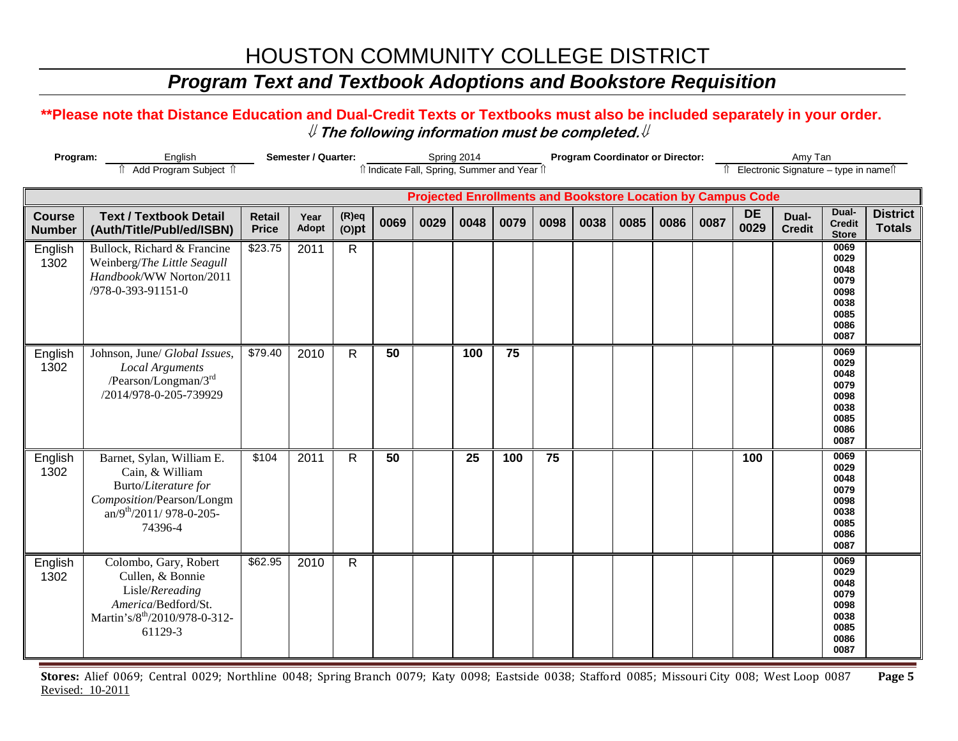## *Program Text and Textbook Adoptions and Bookstore Requisition*

#### **\*\*Please note that Distance Education and Dual-Credit Texts or Textbooks must also be included separately in your order.**  ⇓ **The following information must be completed.**⇓

|                                | Program:<br>Semester / Quarter:<br>English<br>Add Program Subject 1                                                                         |                               |               |                      | îl Indicate Fall, Spring, Summer and Year îl |      | Spring 2014 |                 |      |      | <b>Program Coordinator or Director:</b> |      | Amy Tan<br>Îl Electronic Signature - type in namell |                                                                    |                        |                                                                      |                                  |
|--------------------------------|---------------------------------------------------------------------------------------------------------------------------------------------|-------------------------------|---------------|----------------------|----------------------------------------------|------|-------------|-----------------|------|------|-----------------------------------------|------|-----------------------------------------------------|--------------------------------------------------------------------|------------------------|----------------------------------------------------------------------|----------------------------------|
|                                |                                                                                                                                             |                               |               |                      |                                              |      |             |                 |      |      |                                         |      |                                                     | <b>Projected Enrollments and Bookstore Location by Campus Code</b> |                        |                                                                      |                                  |
| <b>Course</b><br><b>Number</b> | <b>Text / Textbook Detail</b><br>(Auth/Title/Publ/ed/ISBN)                                                                                  | <b>Retail</b><br><b>Price</b> | Year<br>Adopt | $(R)$ eq<br>$(O)$ pt | 0069                                         | 0029 | 0048        | 0079            | 0098 | 0038 | 0085                                    | 0086 | 0087                                                | <b>DE</b><br>0029                                                  | Dual-<br><b>Credit</b> | Dual-<br><b>Credit</b><br><b>Store</b>                               | <b>District</b><br><b>Totals</b> |
| English<br>1302                | Bullock, Richard & Francine<br>Weinberg/The Little Seagull<br>Handbook/WW Norton/2011<br>/978-0-393-91151-0                                 | \$23.75                       | 2011          | $\mathsf{R}$         |                                              |      |             |                 |      |      |                                         |      |                                                     |                                                                    |                        | 0069<br>0029<br>0048<br>0079<br>0098<br>0038<br>0085<br>0086<br>0087 |                                  |
| English<br>1302                | Johnson, June/ Global Issues,<br><b>Local Arguments</b><br>/Pearson/Longman/3rd<br>/2014/978-0-205-739929                                   | \$79.40                       | 2010          | R                    | 50                                           |      | 100         | $\overline{75}$ |      |      |                                         |      |                                                     |                                                                    |                        | 0069<br>0029<br>0048<br>0079<br>0098<br>0038<br>0085<br>0086<br>0087 |                                  |
| English<br>1302                | Barnet, Sylan, William E.<br>Cain, & William<br>Burto/Literature for<br>Composition/Pearson/Longm<br>$an/9th/2011/978-0-205-$<br>74396-4    | \$104                         | 2011          | $\mathsf{R}$         | 50                                           |      | 25          | 100             | 75   |      |                                         |      |                                                     | 100                                                                |                        | 0069<br>0029<br>0048<br>0079<br>0098<br>0038<br>0085<br>0086<br>0087 |                                  |
| English<br>1302                | Colombo, Gary, Robert<br>Cullen, & Bonnie<br>Lisle/Rereading<br>America/Bedford/St.<br>Martin's/8 <sup>th</sup> /2010/978-0-312-<br>61129-3 | \$62.95                       | 2010          | $\mathsf{R}$         |                                              |      |             |                 |      |      |                                         |      |                                                     |                                                                    |                        | 0069<br>0029<br>0048<br>0079<br>0098<br>0038<br>0085<br>0086<br>0087 |                                  |

**Stores:** Alief 0069; Central 0029; Northline 0048; Spring Branch 0079; Katy 0098; Eastside 0038; Stafford 0085; Missouri City 008; West Loop 0087 **Page 5** Revised: 10-2011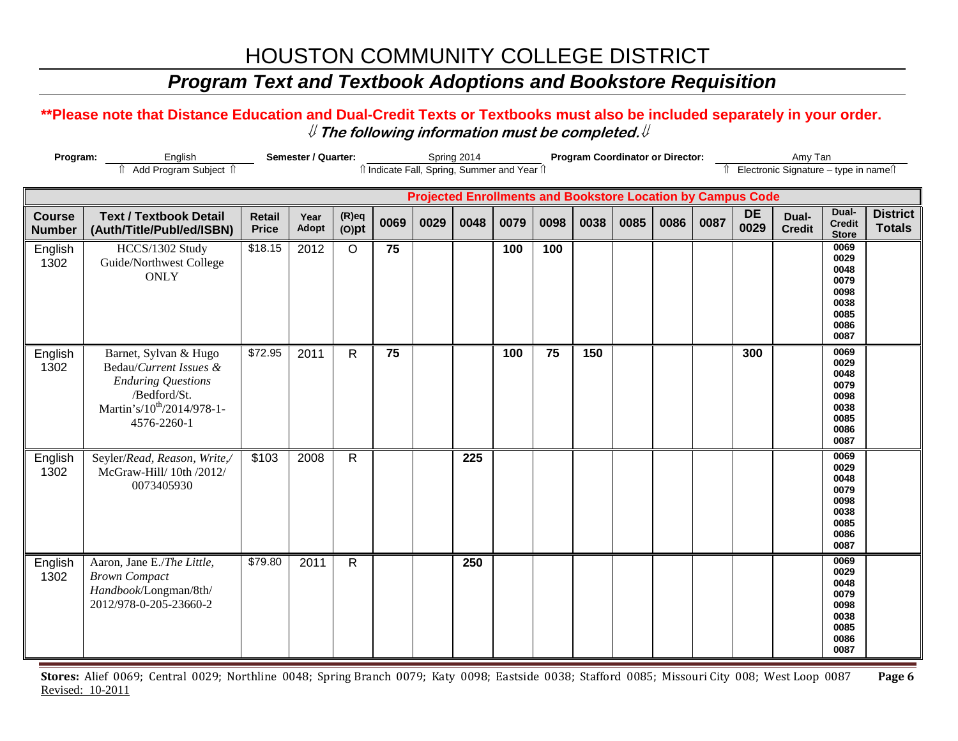## *Program Text and Textbook Adoptions and Bookstore Requisition*

#### **\*\*Please note that Distance Education and Dual-Credit Texts or Textbooks must also be included separately in your order.**  ⇓ **The following information must be completed.**⇓

| Program:                       | English<br>Add Program Subject 1                                                                                                                      | Semester / Quarter:<br>Spring 2014<br>îl Indicate Fall, Spring, Summer and Year îl |               |                      |                 |      |      |      |      | <b>Program Coordinator or Director:</b> |      |      | Amy Tan<br>Electronic Signature - type in names                    |                   |                        |                                                                      |                                  |
|--------------------------------|-------------------------------------------------------------------------------------------------------------------------------------------------------|------------------------------------------------------------------------------------|---------------|----------------------|-----------------|------|------|------|------|-----------------------------------------|------|------|--------------------------------------------------------------------|-------------------|------------------------|----------------------------------------------------------------------|----------------------------------|
|                                |                                                                                                                                                       |                                                                                    |               |                      |                 |      |      |      |      |                                         |      |      | <b>Projected Enrollments and Bookstore Location by Campus Code</b> |                   |                        |                                                                      |                                  |
| <b>Course</b><br><b>Number</b> | <b>Text / Textbook Detail</b><br>(Auth/Title/Publ/ed/ISBN)                                                                                            | <b>Retail</b><br><b>Price</b>                                                      | Year<br>Adopt | $(R)$ eq<br>$(O)$ pt | 0069            | 0029 | 0048 | 0079 | 0098 | 0038                                    | 0085 | 0086 | 0087                                                               | <b>DE</b><br>0029 | Dual-<br><b>Credit</b> | Dual-<br><b>Credit</b><br><b>Store</b>                               | <b>District</b><br><b>Totals</b> |
| English<br>1302                | HCCS/1302 Study<br>Guide/Northwest College<br><b>ONLY</b>                                                                                             | \$18.15                                                                            | 2012          | $\circ$              | 75              |      |      | 100  | 100  |                                         |      |      |                                                                    |                   |                        | 0069<br>0029<br>0048<br>0079<br>0098<br>0038<br>0085<br>0086<br>0087 |                                  |
| English<br>1302                | Barnet, Sylvan & Hugo<br>Bedau/Current Issues &<br><b>Enduring Questions</b><br>/Bedford/St.<br>Martin's/10 <sup>th</sup> /2014/978-1-<br>4576-2260-1 | \$72.95                                                                            | 2011          | $\mathsf{R}$         | $\overline{75}$ |      |      | 100  | 75   | 150                                     |      |      |                                                                    | 300               |                        | 0069<br>0029<br>0048<br>0079<br>0098<br>0038<br>0085<br>0086<br>0087 |                                  |
| English<br>1302                | Seyler/Read, Reason, Write,/<br>McGraw-Hill/ 10th /2012/<br>0073405930                                                                                | \$103                                                                              | 2008          | $\mathsf{R}$         |                 |      | 225  |      |      |                                         |      |      |                                                                    |                   |                        | 0069<br>0029<br>0048<br>0079<br>0098<br>0038<br>0085<br>0086<br>0087 |                                  |
| English<br>1302                | Aaron, Jane E./The Little,<br><b>Brown Compact</b><br>Handbook/Longman/8th/<br>2012/978-0-205-23660-2                                                 | \$79.80                                                                            | 2011          | $\mathsf{R}$         |                 |      | 250  |      |      |                                         |      |      |                                                                    |                   |                        | 0069<br>0029<br>0048<br>0079<br>0098<br>0038<br>0085<br>0086<br>0087 |                                  |

**Stores:** Alief 0069; Central 0029; Northline 0048; Spring Branch 0079; Katy 0098; Eastside 0038; Stafford 0085; Missouri City 008; West Loop 0087 **Page 6** Revised: 10-2011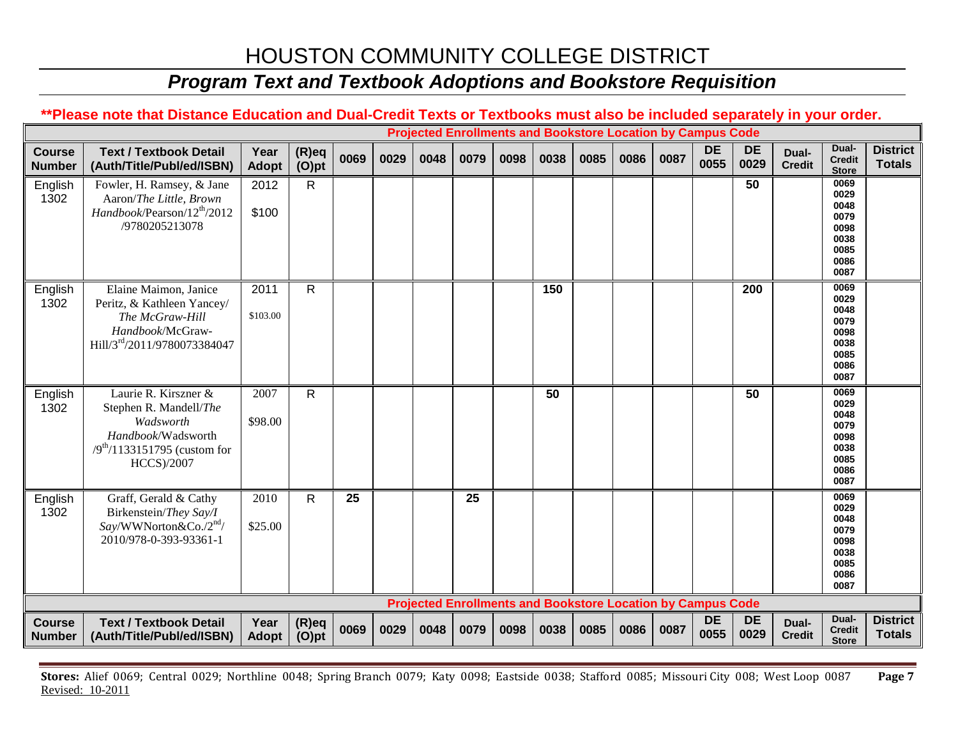### *Program Text and Textbook Adoptions and Bookstore Requisition*

#### **\*\*Please note that Distance Education and Dual-Credit Texts or Textbooks must also be included separately in your order. Projected Enrollments and Bookstore Location by Campus Code Course Number Text / Textbook Detail (Auth/Title/Publ/ed/ISBN) Year Adopt (R)eq (O)pt <sup>0069</sup> <sup>0029</sup> <sup>0048</sup> <sup>0079</sup> <sup>0098</sup> <sup>0038</sup> <sup>0085</sup> <sup>0086</sup> <sup>0087</sup> DE 0055 DE 0029 Dual-Credit Dual-Credit Store District Totals** English 1302 Fowler, H. Ramsey, & Jane Aaron/*The Little, Brown Handbook*/Pearson/12th/2012 /9780205213078 2012 \$100 R **50 0069 0029 0048 0079 0098 0038 0085 0086 0087** English 1302 Elaine Maimon, Janice Peritz, & Kathleen Yancey/ *The McGraw-Hill Handbook*/McGraw-Hill/3rd/2011/9780073384047 2011 \$103.00 R **150 200 0069 0029 0048 0079 0098 0038 0085 0086 0087** English 1302 Laurie R. Kirszner & Stephen R. Mandell/*The Wadsworth Handbook*/Wadsworth  $/9^{th}/1133151795$  (custom for HCCS)/2007 2007 \$98.00 R **50 50 0069 0029 0048 0079 0098 0038 0085 0086 0087** English 1302 Graff, Gerald & Cathy Birkenstein/*They Say/I Say*/WWNorton&Co./2nd/ 2010/978-0-393-93361-1 2010 \$25.00 R **25 25 0069 0029 0048 0079 0098 0038 0085 0086 0087 Projected Enrollments and Bookstore Location by Campus Code Course Number Text / Textbook Detail (Auth/Title/Publ/ed/ISBN) Year Adopt (R)eq (O)pt <sup>0069</sup> <sup>0029</sup> <sup>0048</sup> <sup>0079</sup> <sup>0098</sup> <sup>0038</sup> <sup>0085</sup> <sup>0086</sup> <sup>0087</sup> DE 0055 DE 0029 Dual-Credit Dual-Credit Store District Totals**

**Stores:** Alief 0069; Central 0029; Northline 0048; Spring Branch 0079; Katy 0098; Eastside 0038; Stafford 0085; Missouri City 008; West Loop 0087 **Page 7** Revised: 10-2011